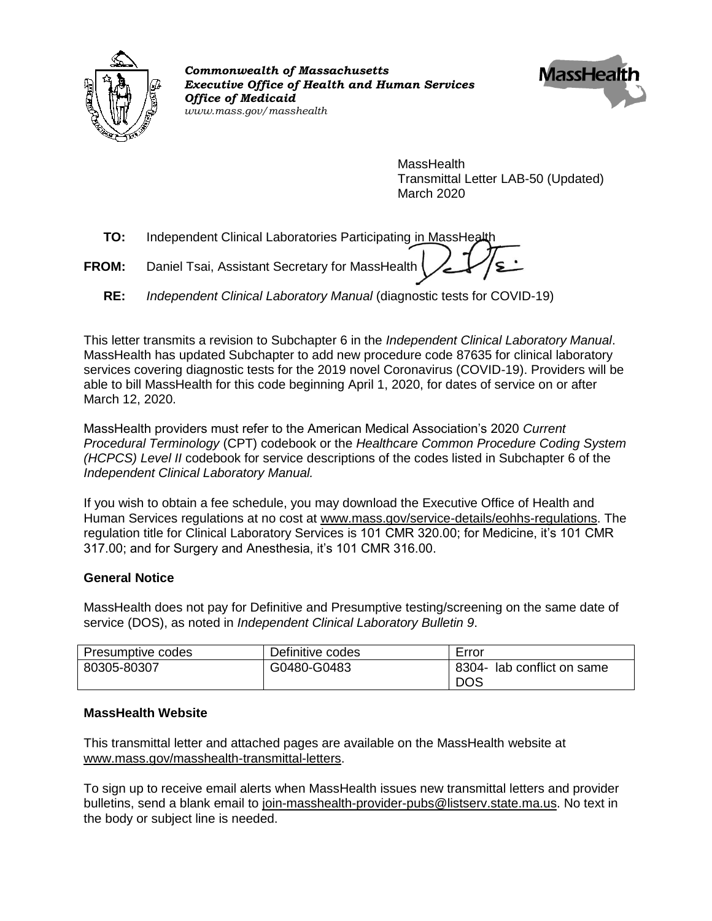

*Commonwealth of Massachusetts Executive Office of Health and Human Services Office of Medicaid www.mass.gov/masshealth*



MassHealth Transmittal Letter LAB-50 (Updated) March 2020

**TO:** Independent Clinical Laboratories Participating in MassHealth

- **FROM:** Daniel Tsai, Assistant Secretary for MassHealth
	- **RE:** *Independent Clinical Laboratory Manual* (diagnostic tests for COVID-19)

This letter transmits a revision to Subchapter 6 in the *Independent Clinical Laboratory Manual*. MassHealth has updated Subchapter to add new procedure code 87635 for clinical laboratory services covering diagnostic tests for the 2019 novel Coronavirus (COVID-19). Providers will be able to bill MassHealth for this code beginning April 1, 2020, for dates of service on or after March 12, 2020.

MassHealth providers must refer to the American Medical Association's 2020 *Current Procedural Terminology* (CPT) codebook or the *Healthcare Common Procedure Coding System (HCPCS) Level II* codebook for service descriptions of the codes listed in Subchapter 6 of the *Independent Clinical Laboratory Manual.*

If you wish to obtain a fee schedule, you may download the Executive Office of Health and Human Services regulations at no cost at [www.mass.gov/service-details/eohhs-regulations.](https://www.mass.gov/service-details/eohhs-regulations) The regulation title for Clinical Laboratory Services is 101 CMR 320.00; for Medicine, it's 101 CMR 317.00; and for Surgery and Anesthesia, it's 101 CMR 316.00.

### **General Notice**

MassHealth does not pay for Definitive and Presumptive testing/screening on the same date of service (DOS), as noted in *Independent Clinical Laboratory Bulletin 9*.

| Presumptive codes | Definitive codes | Error                             |
|-------------------|------------------|-----------------------------------|
| 80305-80307       | G0480-G0483      | 8304- lab conflict on same<br>DOS |

### **MassHealth Website**

This transmittal letter and attached pages are available on the MassHealth website at [www.mass.gov/masshealth-transmittal-letters.](http://www.mass.gov/masshealth-transmittal-letters)

To sign up to receive email alerts when MassHealth issues new transmittal letters and provider bulletins, send a blank email to [join-masshealth-provider-pubs@listserv.state.ma.us.](mailto:join-masshealth-provider-pubs@listserv.state.ma.us) No text in the body or subject line is needed.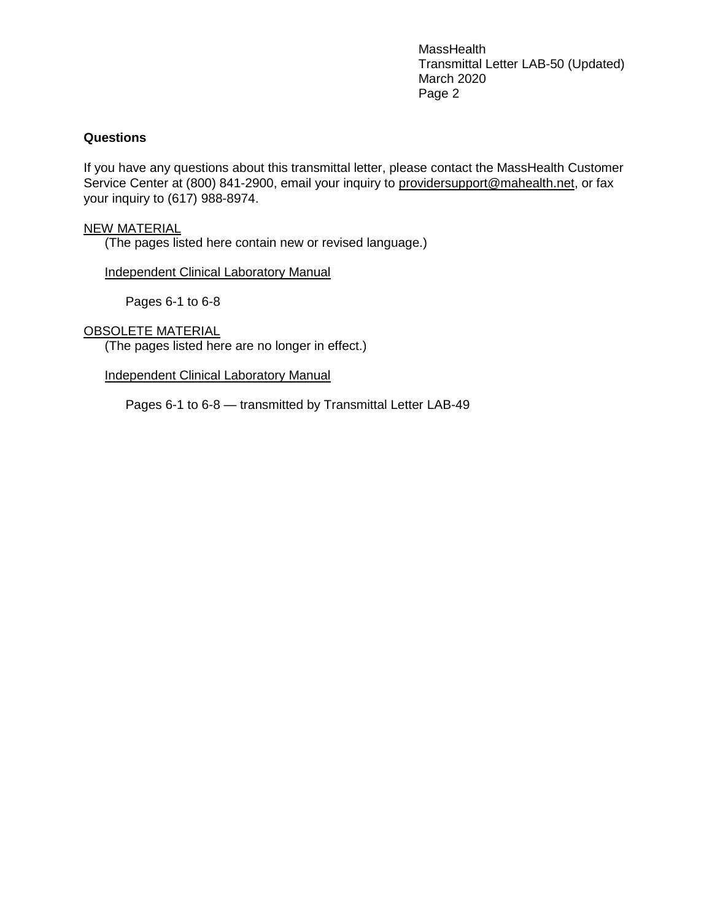MassHealth Transmittal Letter LAB-50 (Updated) March 2020 Page 2

### **Questions**

If you have any questions about this transmittal letter, please contact the MassHealth Customer Service Center at (800) 841-2900, email your inquiry to [providersupport@mahealth.net,](mailto:providersupport@mahealth.net) or fax your inquiry to (617) 988-8974.

#### NEW MATERIAL

(The pages listed here contain new or revised language.)

Independent Clinical Laboratory Manual

Pages 6-1 to 6-8

#### OBSOLETE MATERIAL

(The pages listed here are no longer in effect.)

Independent Clinical Laboratory Manual

Pages 6-1 to 6-8 — transmitted by Transmittal Letter LAB-49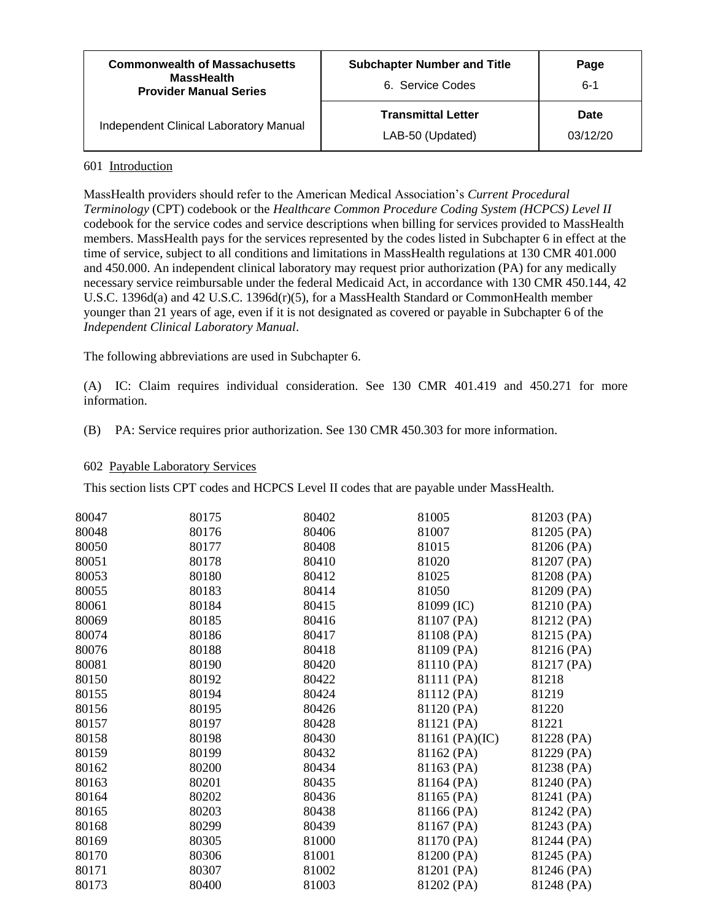| <b>Commonwealth of Massachusetts</b><br><b>MassHealth</b><br><b>Provider Manual Series</b> | <b>Subchapter Number and Title</b><br>6. Service Codes | Page<br>$6 - 1$  |
|--------------------------------------------------------------------------------------------|--------------------------------------------------------|------------------|
| Independent Clinical Laboratory Manual                                                     | <b>Transmittal Letter</b><br>LAB-50 (Updated)          | Date<br>03/12/20 |

#### 601 Introduction

MassHealth providers should refer to the American Medical Association's *Current Procedural Terminology* (CPT) codebook or the *Healthcare Common Procedure Coding System (HCPCS) Level II* codebook for the service codes and service descriptions when billing for services provided to MassHealth members. MassHealth pays for the services represented by the codes listed in Subchapter 6 in effect at the time of service, subject to all conditions and limitations in MassHealth regulations at 130 CMR 401.000 and 450.000. An independent clinical laboratory may request prior authorization (PA) for any medically necessary service reimbursable under the federal Medicaid Act, in accordance with 130 CMR 450.144, 42 U.S.C. 1396d(a) and 42 U.S.C. 1396d(r)(5), for a MassHealth Standard or CommonHealth member younger than 21 years of age, even if it is not designated as covered or payable in Subchapter 6 of the *Independent Clinical Laboratory Manual*.

The following abbreviations are used in Subchapter 6.

(A) IC: Claim requires individual consideration. See 130 CMR 401.419 and 450.271 for more information.

(B) PA: Service requires prior authorization. See 130 CMR 450.303 for more information.

#### 602 Payable Laboratory Services

This section lists CPT codes and HCPCS Level II codes that are payable under MassHealth.

| 80047 | 80175 | 80402 | 81005          | 81203 (PA) |
|-------|-------|-------|----------------|------------|
| 80048 | 80176 | 80406 | 81007          | 81205 (PA) |
| 80050 | 80177 | 80408 | 81015          | 81206 (PA) |
| 80051 | 80178 | 80410 | 81020          | 81207 (PA) |
| 80053 | 80180 | 80412 | 81025          | 81208 (PA) |
| 80055 | 80183 | 80414 | 81050          | 81209 (PA) |
| 80061 | 80184 | 80415 | 81099 (IC)     | 81210 (PA) |
| 80069 | 80185 | 80416 | 81107 (PA)     | 81212 (PA) |
| 80074 | 80186 | 80417 | 81108 (PA)     | 81215 (PA) |
| 80076 | 80188 | 80418 | 81109 (PA)     | 81216 (PA) |
| 80081 | 80190 | 80420 | 81110 (PA)     | 81217 (PA) |
| 80150 | 80192 | 80422 | 81111 (PA)     | 81218      |
| 80155 | 80194 | 80424 | 81112 (PA)     | 81219      |
| 80156 | 80195 | 80426 | 81120 (PA)     | 81220      |
| 80157 | 80197 | 80428 | 81121 (PA)     | 81221      |
| 80158 | 80198 | 80430 | 81161 (PA)(IC) | 81228 (PA) |
| 80159 | 80199 | 80432 | 81162 (PA)     | 81229 (PA) |
| 80162 | 80200 | 80434 | 81163 (PA)     | 81238 (PA) |
| 80163 | 80201 | 80435 | 81164 (PA)     | 81240 (PA) |
| 80164 | 80202 | 80436 | 81165 (PA)     | 81241 (PA) |
| 80165 | 80203 | 80438 | 81166 (PA)     | 81242 (PA) |
| 80168 | 80299 | 80439 | 81167 (PA)     | 81243 (PA) |
| 80169 | 80305 | 81000 | 81170 (PA)     | 81244 (PA) |
| 80170 | 80306 | 81001 | 81200 (PA)     | 81245 (PA) |
| 80171 | 80307 | 81002 | 81201 (PA)     | 81246 (PA) |
| 80173 | 80400 | 81003 | 81202 (PA)     | 81248 (PA) |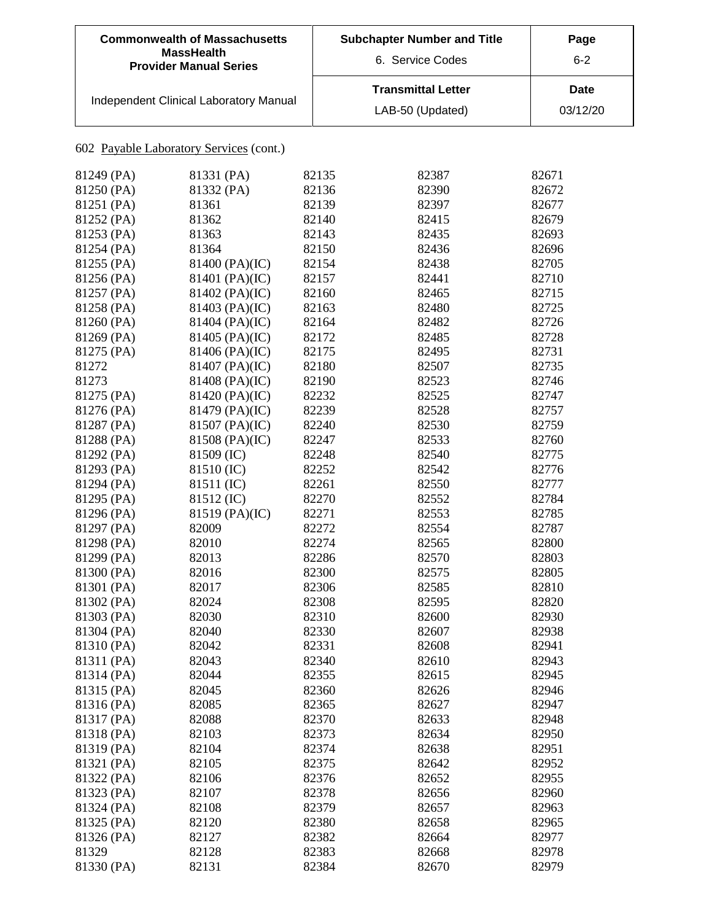| <b>Commonwealth of Massachusetts</b><br><b>MassHealth</b><br><b>Provider Manual Series</b> | <b>Subchapter Number and Title</b><br>6. Service Codes | Page<br>$6 - 2$         |
|--------------------------------------------------------------------------------------------|--------------------------------------------------------|-------------------------|
| Independent Clinical Laboratory Manual                                                     | <b>Transmittal Letter</b><br>LAB-50 (Updated)          | <b>Date</b><br>03/12/20 |

| 81249 (PA)               | 81331 (PA)     | 82135          | 82387          | 82671          |
|--------------------------|----------------|----------------|----------------|----------------|
| 81250 (PA)               | 81332 (PA)     | 82136          | 82390          | 82672          |
| 81251 (PA)               | 81361          | 82139          | 82397          | 82677          |
| 81252 (PA)               | 81362          | 82140          | 82415          | 82679          |
| 81253 (PA)               | 81363          | 82143          | 82435          | 82693          |
| 81254 (PA)               | 81364          | 82150          | 82436          | 82696          |
| 81255 (PA)               | 81400 (PA)(IC) | 82154          | 82438          | 82705          |
| 81256 (PA)               | 81401 (PA)(IC) | 82157          | 82441          | 82710          |
| 81257 (PA)               | 81402 (PA)(IC) | 82160          | 82465          | 82715          |
| 81258 (PA)               | 81403 (PA)(IC) | 82163          | 82480          | 82725          |
| 81260 (PA)               | 81404 (PA)(IC) | 82164          | 82482          | 82726          |
| 81269 (PA)               | 81405 (PA)(IC) | 82172          | 82485          | 82728          |
| 81275 (PA)               | 81406 (PA)(IC) | 82175          | 82495          | 82731          |
| 81272                    | 81407 (PA)(IC) | 82180          | 82507          | 82735          |
| 81273                    | 81408 (PA)(IC) | 82190          | 82523          | 82746          |
| 81275 (PA)               | 81420 (PA)(IC) | 82232          | 82525          | 82747          |
| 81276 (PA)               | 81479 (PA)(IC) | 82239          | 82528          | 82757          |
| 81287 (PA)               | 81507 (PA)(IC) | 82240          | 82530          | 82759          |
| 81288 (PA)               | 81508 (PA)(IC) | 82247          | 82533          | 82760          |
| 81292 (PA)               | 81509 (IC)     | 82248          | 82540          | 82775          |
| 81293 (PA)               | 81510 (IC)     | 82252          | 82542          | 82776          |
| 81294 (PA)               | 81511 (IC)     | 82261          | 82550          | 82777          |
| 81295 (PA)               | 81512 (IC)     | 82270          | 82552          | 82784          |
| 81296 (PA)               | 81519 (PA)(IC) | 82271          | 82553          | 82785          |
| 81297 (PA)               | 82009          | 82272          | 82554          | 82787          |
| 81298 (PA)               | 82010          | 82274          | 82565          | 82800          |
| 81299 (PA)               | 82013          | 82286          | 82570          | 82803          |
| 81300 (PA)               | 82016          | 82300          | 82575          | 82805          |
| 81301 (PA)               | 82017          | 82306          | 82585          | 82810          |
| 81302 (PA)               | 82024          | 82308          | 82595          | 82820          |
| 81303 (PA)               | 82030          | 82310          | 82600          | 82930          |
| 81304 (PA)               | 82040          | 82330          | 82607          | 82938          |
| 81310 (PA)               | 82042          | 82331          | 82608          | 82941          |
| 81311 (PA)               | 82043          | 82340          | 82610          | 82943          |
| 81314 (PA)               | 82044          | 82355          | 82615          | 82945          |
| 81315 (PA)               | 82045          | 82360          | 82626          | 82946          |
| 81316 (PA)               | 82085          | 82365          |                | 82947          |
|                          | 82088          |                | 82627          |                |
| 81317 (PA)<br>81318 (PA) | 82103          | 82370<br>82373 | 82633          | 82948<br>82950 |
|                          | 82104          | 82374          | 82634<br>82638 | 82951          |
| 81319 (PA)               |                | 82375          |                |                |
| 81321 (PA)               | 82105          |                | 82642          | 82952          |
| 81322 (PA)               | 82106          | 82376          | 82652          | 82955<br>82960 |
| 81323 (PA)               | 82107          | 82378          | 82656          |                |
| 81324 (PA)               | 82108          | 82379          | 82657          | 82963          |
| 81325 (PA)               | 82120          | 82380          | 82658          | 82965          |
| 81326 (PA)               | 82127          | 82382          | 82664          | 82977          |
| 81329                    | 82128          | 82383          | 82668          | 82978          |
| 81330 (PA)               | 82131          | 82384          | 82670          | 82979          |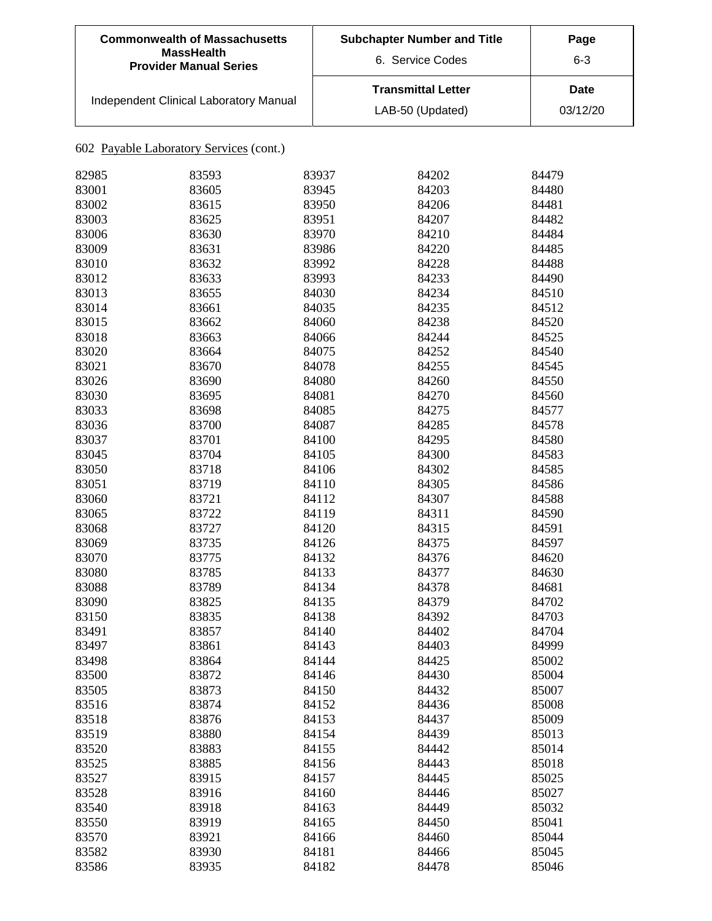| <b>Commonwealth of Massachusetts</b><br><b>MassHealth</b><br><b>Provider Manual Series</b> | <b>Subchapter Number and Title</b><br>Page<br>6. Service Codes<br>$6 - 3$ |                         |
|--------------------------------------------------------------------------------------------|---------------------------------------------------------------------------|-------------------------|
| Independent Clinical Laboratory Manual                                                     | <b>Transmittal Letter</b><br>LAB-50 (Updated)                             | <b>Date</b><br>03/12/20 |

| 82985 | 83593 | 83937 | 84202 | 84479 |
|-------|-------|-------|-------|-------|
| 83001 | 83605 | 83945 | 84203 | 84480 |
| 83002 | 83615 | 83950 | 84206 | 84481 |
| 83003 | 83625 | 83951 | 84207 | 84482 |
| 83006 | 83630 | 83970 | 84210 | 84484 |
| 83009 | 83631 | 83986 | 84220 | 84485 |
| 83010 | 83632 | 83992 | 84228 | 84488 |
| 83012 | 83633 | 83993 | 84233 | 84490 |
| 83013 | 83655 | 84030 | 84234 | 84510 |
| 83014 | 83661 | 84035 | 84235 | 84512 |
| 83015 | 83662 | 84060 | 84238 | 84520 |
| 83018 | 83663 | 84066 | 84244 | 84525 |
| 83020 | 83664 | 84075 | 84252 | 84540 |
| 83021 | 83670 | 84078 | 84255 | 84545 |
| 83026 | 83690 | 84080 | 84260 | 84550 |
| 83030 | 83695 | 84081 | 84270 | 84560 |
| 83033 | 83698 | 84085 | 84275 | 84577 |
| 83036 | 83700 | 84087 | 84285 | 84578 |
| 83037 | 83701 | 84100 | 84295 | 84580 |
| 83045 | 83704 | 84105 | 84300 | 84583 |
| 83050 | 83718 | 84106 | 84302 | 84585 |
| 83051 | 83719 | 84110 | 84305 | 84586 |
| 83060 | 83721 | 84112 | 84307 | 84588 |
| 83065 | 83722 | 84119 | 84311 | 84590 |
| 83068 | 83727 | 84120 | 84315 | 84591 |
| 83069 | 83735 | 84126 | 84375 | 84597 |
| 83070 | 83775 | 84132 | 84376 | 84620 |
| 83080 | 83785 | 84133 | 84377 | 84630 |
| 83088 | 83789 | 84134 | 84378 | 84681 |
| 83090 | 83825 | 84135 | 84379 | 84702 |
| 83150 | 83835 | 84138 | 84392 | 84703 |
| 83491 | 83857 | 84140 | 84402 | 84704 |
| 83497 | 83861 | 84143 | 84403 | 84999 |
| 83498 | 83864 | 84144 | 84425 | 85002 |
| 83500 | 83872 | 84146 | 84430 | 85004 |
| 83505 | 83873 | 84150 | 84432 | 85007 |
| 83516 | 83874 | 84152 | 84436 | 85008 |
| 83518 | 83876 | 84153 | 84437 | 85009 |
| 83519 | 83880 | 84154 | 84439 | 85013 |
| 83520 | 83883 | 84155 | 84442 | 85014 |
| 83525 | 83885 | 84156 | 84443 | 85018 |
| 83527 | 83915 | 84157 | 84445 | 85025 |
| 83528 | 83916 | 84160 | 84446 | 85027 |
| 83540 | 83918 | 84163 | 84449 | 85032 |
| 83550 | 83919 | 84165 | 84450 | 85041 |
| 83570 | 83921 | 84166 | 84460 | 85044 |
| 83582 | 83930 | 84181 | 84466 | 85045 |
| 83586 | 83935 | 84182 | 84478 | 85046 |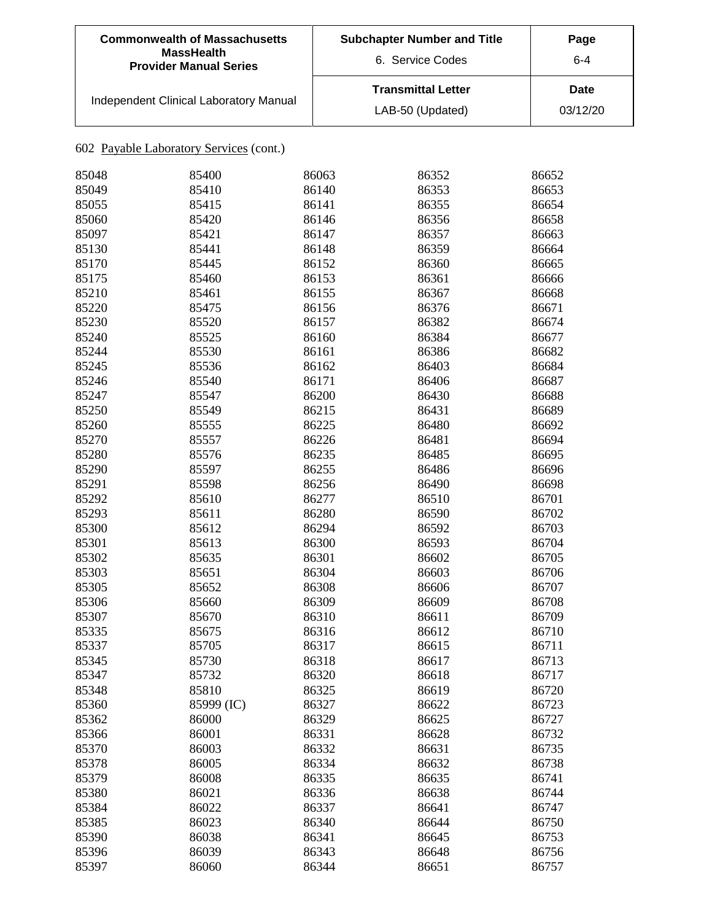| <b>Commonwealth of Massachusetts</b><br><b>MassHealth</b><br><b>Provider Manual Series</b> | <b>Subchapter Number and Title</b><br>6. Service Codes | Page<br>6-4             |
|--------------------------------------------------------------------------------------------|--------------------------------------------------------|-------------------------|
| Independent Clinical Laboratory Manual                                                     | <b>Transmittal Letter</b><br>LAB-50 (Updated)          | <b>Date</b><br>03/12/20 |

| 85048 | 85400      | 86063 | 86352 | 86652 |
|-------|------------|-------|-------|-------|
| 85049 | 85410      | 86140 | 86353 | 86653 |
| 85055 | 85415      | 86141 | 86355 | 86654 |
| 85060 | 85420      | 86146 | 86356 | 86658 |
| 85097 | 85421      | 86147 | 86357 | 86663 |
| 85130 | 85441      | 86148 | 86359 | 86664 |
| 85170 | 85445      | 86152 | 86360 | 86665 |
| 85175 | 85460      | 86153 | 86361 | 86666 |
| 85210 | 85461      | 86155 | 86367 | 86668 |
| 85220 | 85475      | 86156 | 86376 | 86671 |
| 85230 | 85520      | 86157 | 86382 | 86674 |
| 85240 | 85525      | 86160 | 86384 | 86677 |
| 85244 | 85530      | 86161 | 86386 | 86682 |
| 85245 | 85536      | 86162 | 86403 | 86684 |
| 85246 | 85540      | 86171 | 86406 | 86687 |
| 85247 | 85547      | 86200 | 86430 | 86688 |
| 85250 | 85549      | 86215 | 86431 | 86689 |
| 85260 | 85555      | 86225 | 86480 | 86692 |
| 85270 | 85557      | 86226 | 86481 | 86694 |
| 85280 | 85576      | 86235 | 86485 | 86695 |
| 85290 | 85597      | 86255 | 86486 | 86696 |
| 85291 | 85598      | 86256 | 86490 | 86698 |
| 85292 | 85610      | 86277 | 86510 | 86701 |
| 85293 | 85611      | 86280 | 86590 | 86702 |
| 85300 | 85612      | 86294 | 86592 | 86703 |
| 85301 | 85613      | 86300 | 86593 | 86704 |
| 85302 | 85635      | 86301 | 86602 | 86705 |
| 85303 | 85651      | 86304 | 86603 | 86706 |
| 85305 | 85652      | 86308 | 86606 | 86707 |
| 85306 | 85660      | 86309 | 86609 | 86708 |
| 85307 | 85670      | 86310 | 86611 | 86709 |
| 85335 | 85675      | 86316 | 86612 | 86710 |
| 85337 | 85705      | 86317 | 86615 | 86711 |
| 85345 | 85730      | 86318 | 86617 | 86713 |
| 85347 | 85732      | 86320 | 86618 | 86717 |
| 85348 | 85810      | 86325 | 86619 | 86720 |
| 85360 | 85999 (IC) | 86327 | 86622 | 86723 |
| 85362 | 86000      | 86329 | 86625 | 86727 |
| 85366 | 86001      | 86331 | 86628 | 86732 |
| 85370 | 86003      | 86332 | 86631 | 86735 |
| 85378 | 86005      | 86334 | 86632 | 86738 |
| 85379 | 86008      | 86335 | 86635 | 86741 |
| 85380 | 86021      | 86336 | 86638 | 86744 |
| 85384 | 86022      | 86337 | 86641 | 86747 |
| 85385 | 86023      | 86340 | 86644 | 86750 |
| 85390 | 86038      | 86341 | 86645 | 86753 |
| 85396 | 86039      | 86343 | 86648 | 86756 |
| 85397 | 86060      | 86344 | 86651 | 86757 |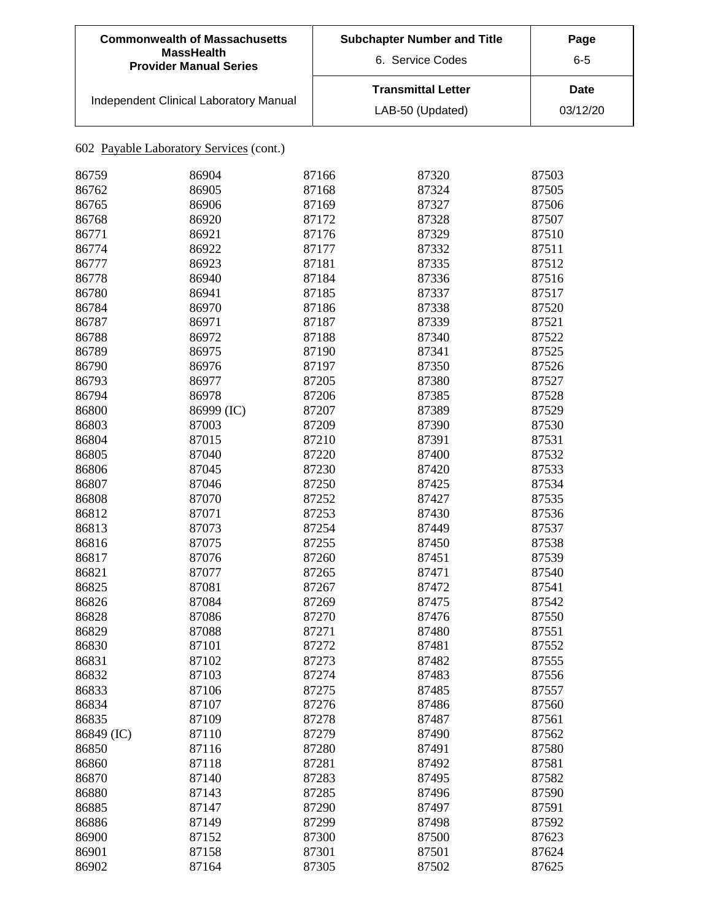| <b>Commonwealth of Massachusetts</b><br><b>MassHealth</b><br><b>Provider Manual Series</b> | <b>Subchapter Number and Title</b><br>6. Service Codes | Page<br>$6 - 5$  |
|--------------------------------------------------------------------------------------------|--------------------------------------------------------|------------------|
| Independent Clinical Laboratory Manual                                                     | <b>Transmittal Letter</b><br>LAB-50 (Updated)          | Date<br>03/12/20 |

| 86759      | 86904      | 87166 | 87320 | 87503 |
|------------|------------|-------|-------|-------|
| 86762      | 86905      | 87168 | 87324 | 87505 |
| 86765      | 86906      | 87169 | 87327 | 87506 |
| 86768      | 86920      | 87172 | 87328 | 87507 |
| 86771      | 86921      | 87176 | 87329 | 87510 |
| 86774      | 86922      | 87177 | 87332 | 87511 |
| 86777      | 86923      | 87181 | 87335 | 87512 |
| 86778      | 86940      | 87184 | 87336 | 87516 |
| 86780      | 86941      | 87185 | 87337 | 87517 |
| 86784      | 86970      | 87186 | 87338 | 87520 |
| 86787      | 86971      | 87187 | 87339 | 87521 |
| 86788      | 86972      | 87188 | 87340 | 87522 |
| 86789      | 86975      | 87190 | 87341 | 87525 |
| 86790      | 86976      | 87197 | 87350 | 87526 |
| 86793      | 86977      | 87205 | 87380 | 87527 |
| 86794      | 86978      | 87206 | 87385 | 87528 |
| 86800      | 86999 (IC) | 87207 | 87389 | 87529 |
| 86803      | 87003      | 87209 | 87390 | 87530 |
| 86804      | 87015      | 87210 | 87391 | 87531 |
| 86805      | 87040      | 87220 | 87400 | 87532 |
| 86806      | 87045      | 87230 | 87420 | 87533 |
|            | 87046      | 87250 |       |       |
| 86807      |            |       | 87425 | 87534 |
| 86808      | 87070      | 87252 | 87427 | 87535 |
| 86812      | 87071      | 87253 | 87430 | 87536 |
| 86813      | 87073      | 87254 | 87449 | 87537 |
| 86816      | 87075      | 87255 | 87450 | 87538 |
| 86817      | 87076      | 87260 | 87451 | 87539 |
| 86821      | 87077      | 87265 | 87471 | 87540 |
| 86825      | 87081      | 87267 | 87472 | 87541 |
| 86826      | 87084      | 87269 | 87475 | 87542 |
| 86828      | 87086      | 87270 | 87476 | 87550 |
| 86829      | 87088      | 87271 | 87480 | 87551 |
| 86830      | 87101      | 87272 | 87481 | 87552 |
| 86831      | 87102      | 87273 | 87482 | 87555 |
| 86832      | 87103      | 87274 | 87483 | 87556 |
| 86833      | 87106      | 87275 | 87485 | 87557 |
| 86834      | 87107      | 87276 | 87486 | 87560 |
| 86835      | 87109      | 87278 | 87487 | 87561 |
| 86849 (IC) | 87110      | 87279 | 87490 | 87562 |
| 86850      | 87116      | 87280 | 87491 | 87580 |
| 86860      | 87118      | 87281 | 87492 | 87581 |
| 86870      | 87140      | 87283 | 87495 | 87582 |
| 86880      | 87143      | 87285 | 87496 | 87590 |
| 86885      | 87147      | 87290 | 87497 | 87591 |
| 86886      | 87149      | 87299 | 87498 | 87592 |
| 86900      | 87152      | 87300 | 87500 | 87623 |
| 86901      | 87158      | 87301 | 87501 | 87624 |
| 86902      | 87164      | 87305 | 87502 | 87625 |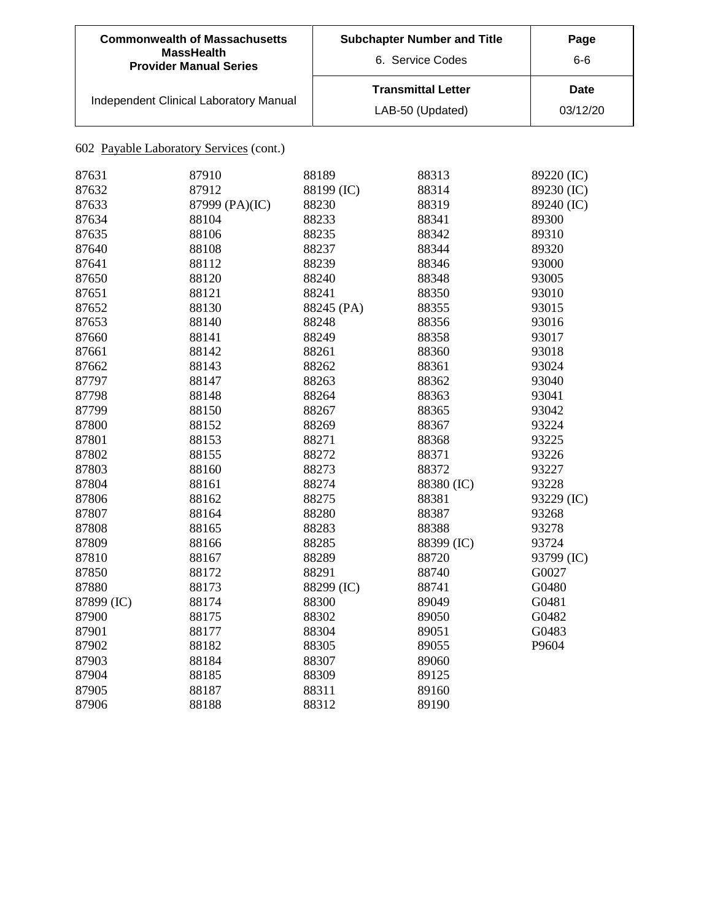| <b>Commonwealth of Massachusetts</b><br><b>MassHealth</b><br><b>Provider Manual Series</b> | <b>Subchapter Number and Title</b><br>6. Service Codes | Page<br>6-6      |
|--------------------------------------------------------------------------------------------|--------------------------------------------------------|------------------|
| Independent Clinical Laboratory Manual                                                     | <b>Transmittal Letter</b><br>LAB-50 (Updated)          | Date<br>03/12/20 |

| 87631      | 87910          | 88189      | 88313      | 89220 (IC) |
|------------|----------------|------------|------------|------------|
| 87632      | 87912          | 88199 (IC) | 88314      | 89230 (IC) |
| 87633      | 87999 (PA)(IC) | 88230      | 88319      | 89240 (IC) |
| 87634      | 88104          | 88233      | 88341      | 89300      |
| 87635      | 88106          | 88235      | 88342      | 89310      |
| 87640      | 88108          | 88237      | 88344      | 89320      |
| 87641      | 88112          | 88239      | 88346      | 93000      |
| 87650      | 88120          | 88240      | 88348      | 93005      |
| 87651      | 88121          | 88241      | 88350      | 93010      |
| 87652      | 88130          | 88245 (PA) | 88355      | 93015      |
| 87653      | 88140          | 88248      | 88356      | 93016      |
| 87660      | 88141          | 88249      | 88358      | 93017      |
| 87661      | 88142          | 88261      | 88360      | 93018      |
| 87662      | 88143          | 88262      | 88361      | 93024      |
| 87797      | 88147          | 88263      | 88362      | 93040      |
| 87798      | 88148          | 88264      | 88363      | 93041      |
| 87799      | 88150          | 88267      | 88365      | 93042      |
| 87800      | 88152          | 88269      | 88367      | 93224      |
| 87801      | 88153          | 88271      | 88368      | 93225      |
| 87802      | 88155          | 88272      | 88371      | 93226      |
| 87803      | 88160          | 88273      | 88372      | 93227      |
| 87804      | 88161          | 88274      | 88380 (IC) | 93228      |
| 87806      | 88162          | 88275      | 88381      | 93229 (IC) |
| 87807      | 88164          | 88280      | 88387      | 93268      |
| 87808      | 88165          | 88283      | 88388      | 93278      |
| 87809      | 88166          | 88285      | 88399 (IC) | 93724      |
| 87810      | 88167          | 88289      | 88720      | 93799 (IC) |
| 87850      | 88172          | 88291      | 88740      | G0027      |
| 87880      | 88173          | 88299 (IC) | 88741      | G0480      |
| 87899 (IC) | 88174          | 88300      | 89049      | G0481      |
| 87900      | 88175          | 88302      | 89050      | G0482      |
| 87901      | 88177          | 88304      | 89051      | G0483      |
| 87902      | 88182          | 88305      | 89055      | P9604      |
| 87903      | 88184          | 88307      | 89060      |            |
| 87904      | 88185          | 88309      | 89125      |            |
| 87905      | 88187          | 88311      | 89160      |            |
| 87906      | 88188          | 88312      | 89190      |            |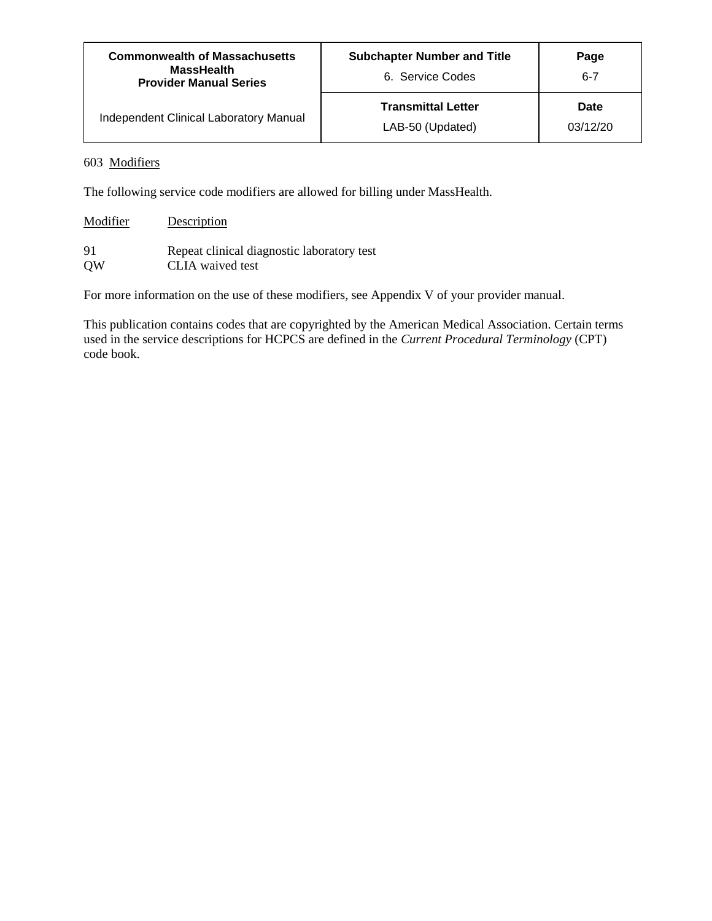| <b>Commonwealth of Massachusetts</b><br><b>MassHealth</b><br><b>Provider Manual Series</b> | <b>Subchapter Number and Title</b><br>6. Service Codes | Page<br>$6 - 7$  |
|--------------------------------------------------------------------------------------------|--------------------------------------------------------|------------------|
| <b>Independent Clinical Laboratory Manual</b>                                              | <b>Transmittal Letter</b><br>LAB-50 (Updated)          | Date<br>03/12/20 |

#### 603 Modifiers

The following service code modifiers are allowed for billing under MassHealth.

| Modifier  | Description                                |
|-----------|--------------------------------------------|
| 91        | Repeat clinical diagnostic laboratory test |
| <b>OW</b> | CLIA waived test                           |

For more information on the use of these modifiers, see Appendix V of your provider manual.

This publication contains codes that are copyrighted by the American Medical Association. Certain terms used in the service descriptions for HCPCS are defined in the *Current Procedural Terminology* (CPT) code book.